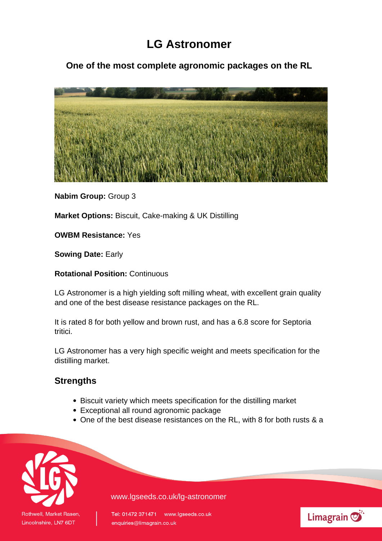## **LG Astronomer**

**One of the most complete agronomic packages on the RL**



**Nabim Group:** Group 3

**Market Options:** Biscuit, Cake-making & UK Distilling

**OWBM Resistance:** Yes

**Sowing Date:** Early

**Rotational Position:** Continuous

LG Astronomer is a high yielding soft milling wheat, with excellent grain quality and one of the best disease resistance packages on the RL.

It is rated 8 for both yellow and brown rust, and has a 6.8 score for Septoria tritici.

LG Astronomer has a very high specific weight and meets specification for the distilling market.

## **Strengths**

- Biscuit variety which meets specification for the distilling market
- Exceptional all round agronomic package
- One of the best disease resistances on the RL, with 8 for both rusts & a



www.lgseeds.co.uk/lg-astronomer

Tel: 01472 371471 www.lgseeds.co.uk enquiries@limagrain.co.uk

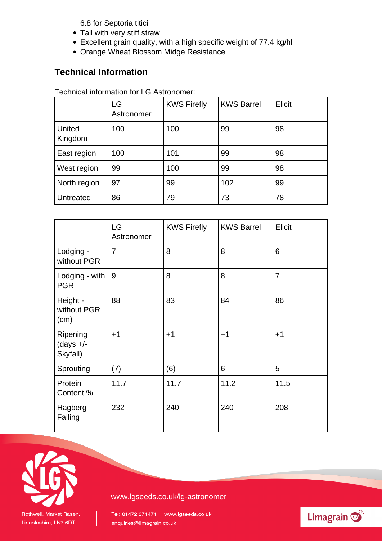6.8 for Septoria titici

- Tall with very stiff straw
- Excellent grain quality, with a high specific weight of 77.4 kg/hl
- Orange Wheat Blossom Midge Resistance

## **Technical Information**

## Technical information for LG Astronomer:

|                   | LG<br>Astronomer | <b>KWS Firefly</b> | <b>KWS Barrel</b> | Elicit |
|-------------------|------------------|--------------------|-------------------|--------|
| United<br>Kingdom | 100              | 100                | 99                | 98     |
| East region       | 100              | 101                | 99                | 98     |
| West region       | 99               | 100                | 99                | 98     |
| North region      | 97               | 99                 | 102               | 99     |
| <b>Untreated</b>  | 86               | 79                 | 73                | 78     |

|                                     | LG<br>Astronomer | <b>KWS Firefly</b> | <b>KWS Barrel</b> | Elicit         |
|-------------------------------------|------------------|--------------------|-------------------|----------------|
| Lodging -<br>without PGR            | 7                | 8                  | 8                 | 6              |
| Lodging - with<br><b>PGR</b>        | 9                | 8                  | 8                 | $\overline{7}$ |
| Height -<br>without PGR<br>(cm)     | 88               | 83                 | 84                | 86             |
| Ripening<br>(days $+/-$<br>Skyfall) | $+1$             | $+1$               | $+1$              | $+1$           |
| Sprouting                           | (7)              | (6)                | 6                 | 5              |
| Protein<br>Content %                | 11.7             | 11.7               | 11.2              | 11.5           |
| Hagberg<br>Falling                  | 232              | 240                | 240               | 208            |



www.lgseeds.co.uk/lg-astronomer

Tel: 01472 371471 www.lgseeds.co.uk enquiries@limagrain.co.uk